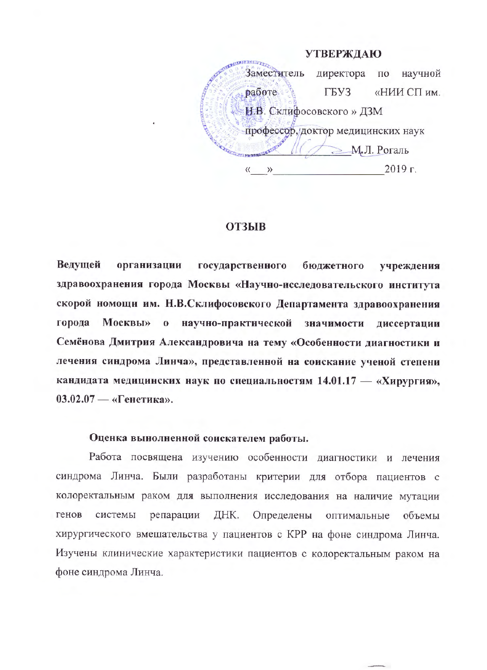**УТВЕРЖДАЮ CHARACTERISTICS** Заместитель научной директора  $\Pi$ <sup>O</sup> работе **ГБУЗ** «НИИ СП им. Н.В. Склифосовского » ДЗМ профессор, доктор медицинских наук  $\geq M_{\star}$ Л. Рогаль  $2019$  г.  $\langle \langle$  $\rangle\!\rangle$ 

# **ОТЗЫВ**

Ведущей организации государственного бюджетного учреждения здравоохранения города Москвы «Научно-исследовательского института скорой номощи им. Н.В.Склифосовского Департамента здравоохранения города Москвы» о научно-практической значимости диссертации Семёнова Дмитрия Александровича на тему «Особенности диагностики и лечения синдрома Линча», представленной на соискание ученой степени кандидата медицинских наук по специальностям 14.01.17 - «Хирургия», 03.02.07 — «Генетика».

## Оценка вынолненной соискателем работы.

Работа посвящена изучению особенности диагностики и лечения синдрома Линча. Были разработаны критерии для отбора пациентов с колоректальным раком для выполнения исследования на наличие мутации генов ДНК. Определены системы репарации оптимальные объемы хирургического вмешательства у пациентов с КРР на фоне синдрома Линча. Изучены клинические характеристики пациентов с колоректальным раком на фоне синдрома Линча.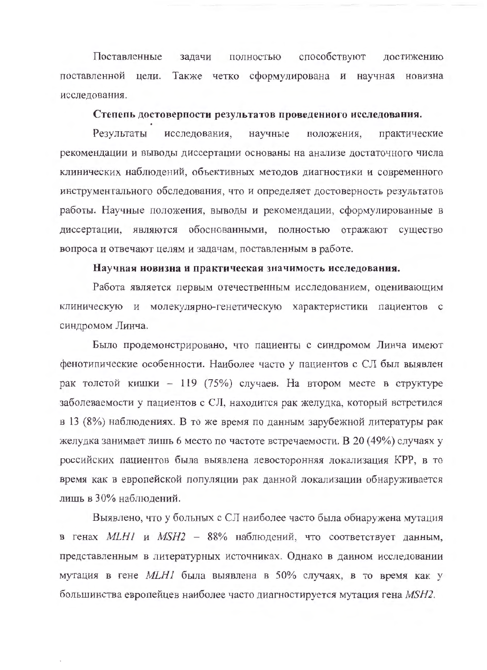способствуют Поставленные задачи полностью достижению поставленной цели. Также четко сформулирована и научная новизна исследования.

#### Степень достоверности результатов проведенного исследования.

Результаты исследования, научные положения, практические рекомендации и выводы диссертации основаны на анализе достаточного числа клинических наблюдений, объективных методов диагностики и современного инструментального обследования, что и определяет достоверность результатов работы. Научные положения, выводы и рекомендации, сформулированные в диссертации, являются обоснованными, полностью отражают существо вопроса и отвечают целям и задачам, поставленным в работе.

#### Научная новизна и практическая значимость исследования.

Работа является первым отечественным исследованием, оценивающим клиническую и молекулярно-генетическую характеристики пациентов с синдромом Линча.

Было продемонстрировано, что пациенты с синдромом Линча имеют фенотипические особенности. Наиболее часто у пациентов с СЛ был выявлен рак толстой кишки - 119 (75%) случаев. На втором месте в структуре заболеваемости у пациентов с СЛ, находится рак желудка, который встретился в 13 (8%) наблюдениях. В то же время по данным зарубежной литературы рак желудка занимает лишь 6 место по частоте встречаемости. В 20 (49%) случаях у российских пациентов была выявлена левосторонняя локализация КРР, в то время как в европейской популяции рак данной локализации обнаруживается лишь в 30% наблюдений.

Выявлено, что у больных с СЛ наиболее часто была обнаружена мутация в генах MLH1 и MSH2 - 88% наблюдений, что соответствует данным, представленным в литературных источниках. Однако в данном исследовании мутация в гене МLН1 была выявлена в 50% случаях, в то время как у большинства европейцев наиболее часто диагностируется мутация гена MSH2.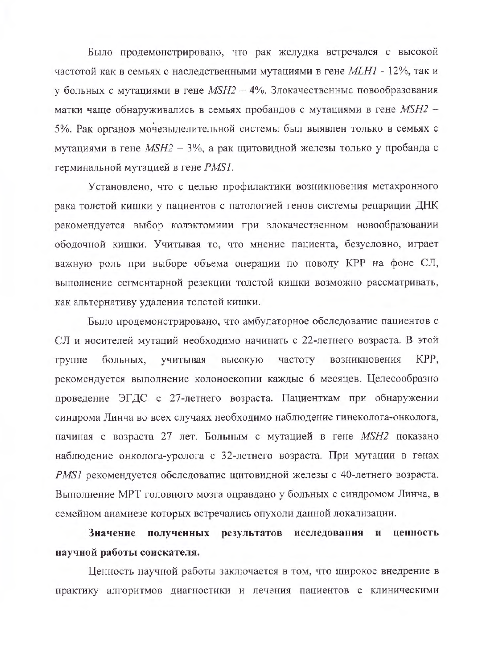Было продемонстрировано, что рак желудка встречался с высокой частотой как в семьях с наследственными мутациями в гене МLН1 - 12%, так и у больных с мутациями в гене  $MSH2 - 4\%$ . Злокачественные новообразования матки чаще обнаруживались в семьях пробандов с мутациями в гене MSH2 -5%. Рак органов мочевыделительной системы был выявлен только в семьях с мутациями в гене MSH2 - 3%, а рак щитовидной железы только у пробанда с герминальной мутацией в гене PMS1.

Установлено, что с целью профилактики возникновения метахронного рака толстой кишки у пациентов с патологией генов системы репарации ДНК рекомендуется выбор колэктомиии при злокачественном новообразовании ободочной кишки. Учитывая то, что мнение пациента, безусловно, играет важную роль при выборе объема операции по поводу КРР на фоне СЛ, выполнение сегментарной резекции толстой кишки возможно рассматривать, как альтернативу удаления толстой кишки.

Было продемонстрировано, что амбулаторное обследование пациентов с СЛ и носителей мутаций необходимо начинать с 22-летнего возраста. В этой больных, высокую частоту возникновения KPP. группе учитывая рекомендуется выполнение колоноскопии каждые 6 месяцев. Целесообразно проведение ЭГДС с 27-летнего возраста. Пациенткам при обнаружении синдрома Линча во всех случаях необходимо наблюдение гинеколога-онколога, начиная с возраста 27 лет. Больным с мутацией в гене MSH2 показано наблюдение онколога-уролога с 32-летнего возраста. При мутации в генах PMS1 рекомендуется обследование щитовидной железы с 40-летнего возраста. Выполнение МРТ головного мозга оправдано у больных с синдромом Линча, в семейном анамнезе которых встречались опухоли данной локализации.

Значение полученных результатов исследования и ценность научной работы соискателя.

Ценность научной работы заключается в том, что широкое внедрение в практику алгоритмов диагностики и лечения пациентов с клиническими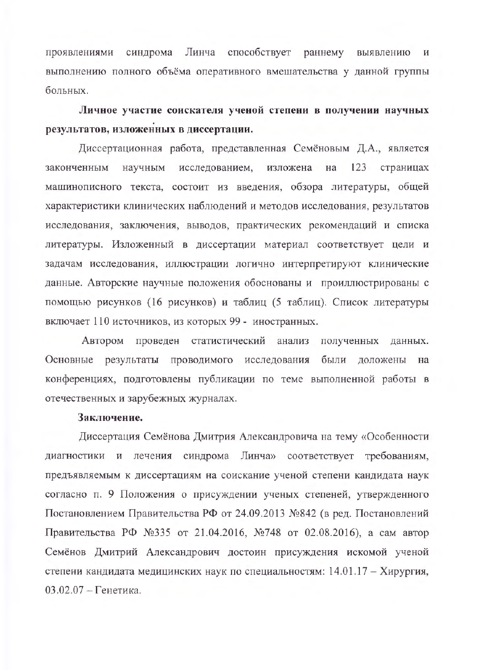Линча способствует раннему выявлению проявлениями синдрома И выполнению полного объёма оперативного вмешательства у данной группы больных.

Личное участие соискателя ученой степени в получении научных результатов, изложенных в диссертации.

Диссертационная работа, представленная Семёновым Д.А., является законченным научным исследованием, изложена на 123 страницах машинописного текста, состоит из введения, обзора литературы, общей характеристики клинических наблюдений и методов исследования, результатов исследования, заключения, выводов, практических рекомендаций и списка литературы. Изложенный в диссертации материал соответствует цели и задачам исследования, иллюстрации логично интерпретируют клинические данные. Авторские научные положения обоснованы и проиллюстрированы с помощью рисунков (16 рисунков) и таблиц (5 таблиц). Список литературы включает 110 источников, из которых 99 - иностранных.

Автором проведен статистический анализ полученных данных. Основные результаты проводимого исследования были доложены на конференциях, подготовлены публикации по теме выполненной работы в отечественных и зарубежных журналах.

## Заключение.

Диссертация Семёнова Дмитрия Александровича на тему «Особенности диагностики и лечения синдрома Линча» соответствует требованиям, предъявляемым к диссертациям на соискание ученой степени кандидата наук согласно п. 9 Положения о присуждении ученых степеней, утвержденного Постановлением Правительства РФ от 24.09.2013 №842 (в ред. Постановлений Правительства РФ №335 от 21.04.2016, №748 от 02.08.2016), а сам автор Семёнов Дмитрий Александрович достоин присуждения искомой ученой степени кандидата медицинских наук по специальностям: 14.01.17 - Хирургия,  $03.02.07 -$ Генетика.